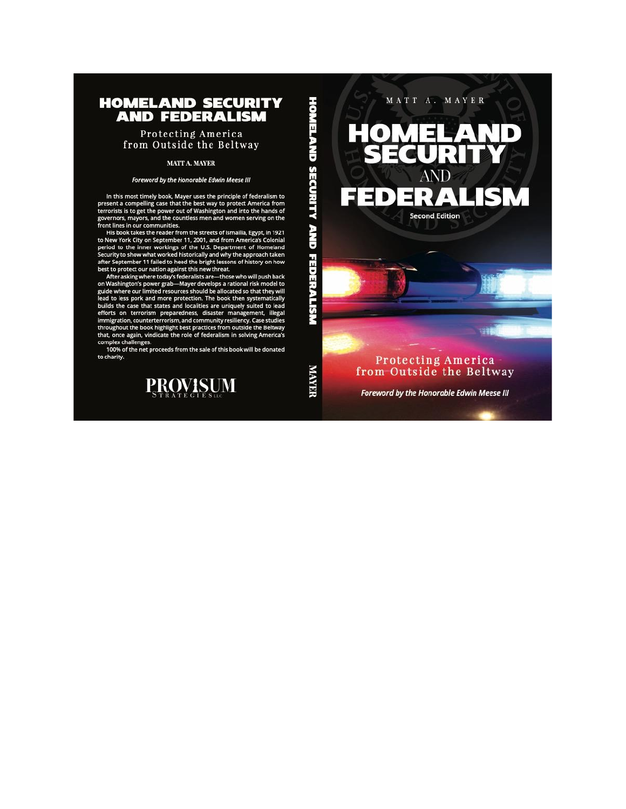# **HOMELAND SECURITY AND FEDERALISM**

Protecting America from Outside the Beltway

#### MATT A. MAYER

#### Foreword by the Honorable Edwin Meese III

In this most timely book, Mayer uses the principle of federalism to<br>present a compelling case that the best way to protect America from<br>terrorists is to get the power out of Washington and into the hands of governors, mayors, and the countless men and women serving on the

front lines in our communities.<br>His book takes the reader from the streets of Ismailia, Egypt, in 1921 The book cakes the reader from the streets of Islam America's Colonial<br>period to the inner workings of the U.S. Department of Homeland<br>period to the inner workings of the U.S. Department of Homeland<br>Security to show what w best to protect our nation against this new threat.

After asking where today's federalists are—those who will push back<br>on Washington's power grab—Mayer develops a rational risk model to guide where our limited resources should be allocated so that they will lead to less pork and more protection. The book then systematically builds the case that states and localities are uniquely suited to lead efforts on terrorism preparedness, disaster management, illegal counterterrorism, and community resiliency. Case studies<br>throughout the book highlight best practices from outside the Beltway<br>that, once again, vindicate the role of federalism in solving America's complex challenges.

100% of the net proceeds from the sale of this book will be donated to charity.



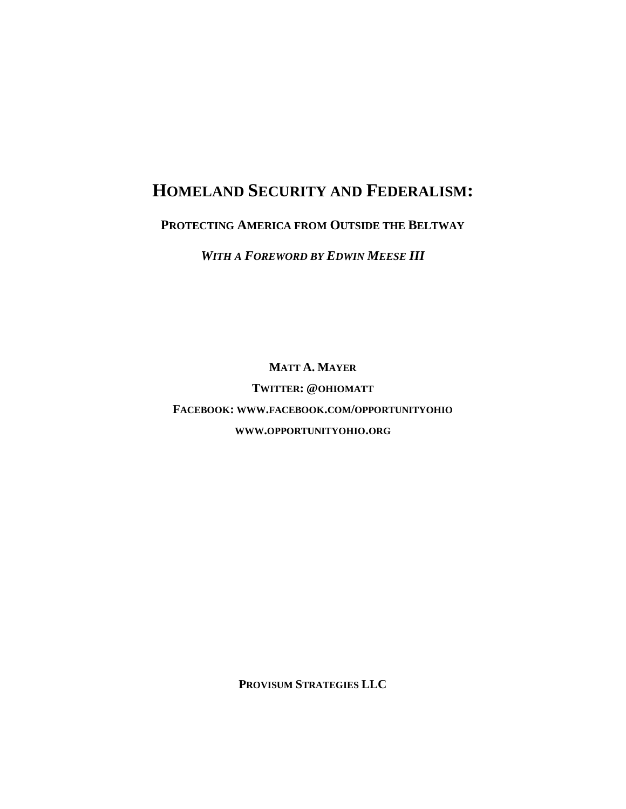# **HOMELAND SECURITY AND FEDERALISM:**

# **PROTECTING AMERICA FROM OUTSIDE THE BELTWAY**

*WITH A FOREWORD BY EDWIN MEESE III*

**MATT A. MAYER**

**TWITTER: @OHIOMATT FACEBOOK: WWW.FACEBOOK.COM/OPPORTUNITYOHIO WWW.OPPORTUNITYOHIO.ORG**

**PROVISUM STRATEGIES LLC**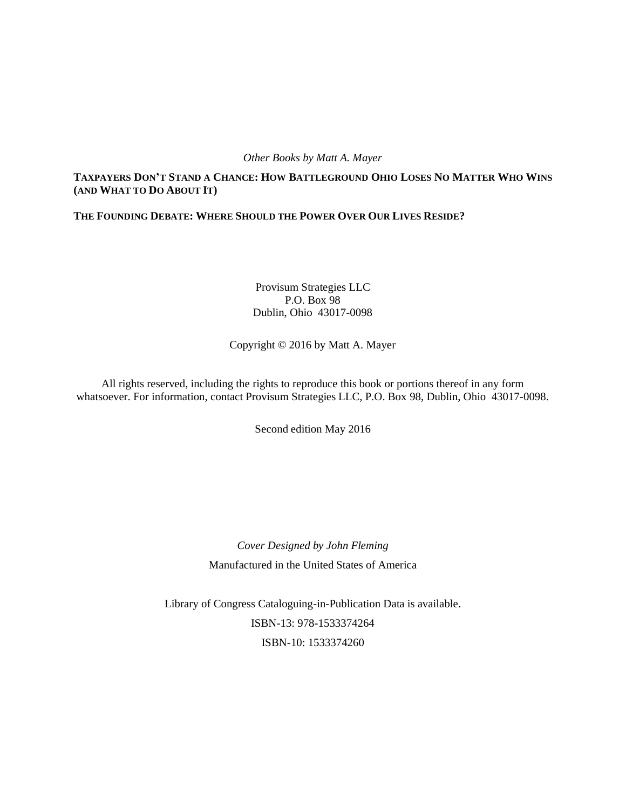## *Other Books by Matt A. Mayer*

# TAXPAYERS DON'T STAND A CHANCE: HOW BATTLEGROUND OHIO LOSES NO MATTER WHO WINS **(AND WHAT TO DO ABOUT IT)**

# **THE FOUNDING DEBATE: WHERE SHOULD THE POWER OVER OUR LIVES RESIDE?**

Provisum Strategies LLC P.O. Box 98 Dublin, Ohio 43017-0098

Copyright © 2016 by Matt A. Mayer

All rights reserved, including the rights to reproduce this book or portions thereof in any form whatsoever. For information, contact Provisum Strategies LLC, P.O. Box 98, Dublin, Ohio 43017-0098.

Second edition May 2016

*Cover Designed by John Fleming* Manufactured in the United States of America

Library of Congress Cataloguing-in-Publication Data is available. ISBN-13: 978-1533374264 ISBN-10: 1533374260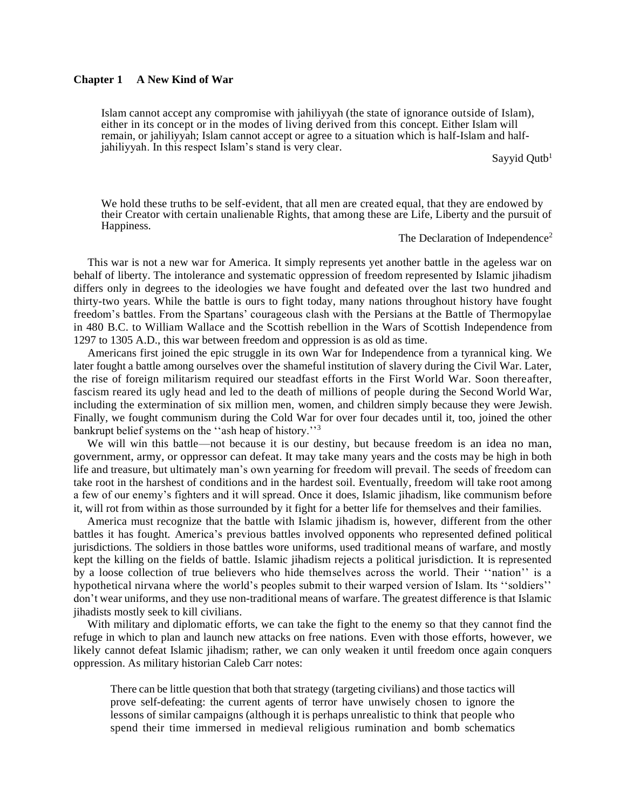#### **Chapter 1 A New Kind of War**

Islam cannot accept any compromise with jahiliyyah (the state of ignorance outside of Islam), either in its concept or in the modes of living derived from this concept. Either Islam will remain, or jahiliyyah; Islam cannot accept or agree to a situation which is half-Islam and halfjahiliyyah. In this respect Islam's stand is very clear.

Sayyid Qutb<sup>1</sup>

We hold these truths to be self-evident, that all men are created equal, that they are endowed by their Creator with certain unalienable Rights, that among these are Life, Liberty and the pursuit of Happiness.

The Declaration of Independence<sup>2</sup>

This war is not a new war for America. It simply represents yet another battle in the ageless war on behalf of liberty. The intolerance and systematic oppression of freedom represented by Islamic jihadism differs only in degrees to the ideologies we have fought and defeated over the last two hundred and thirty-two years. While the battle is ours to fight today, many nations throughout history have fought freedom's battles. From the Spartans' courageous clash with the Persians at the Battle of Thermopylae in 480 B.C. to William Wallace and the Scottish rebellion in the Wars of Scottish Independence from 1297 to 1305 A.D., this war between freedom and oppression is as old as time.

Americans first joined the epic struggle in its own War for Independence from a tyrannical king. We later fought a battle among ourselves over the shameful institution of slavery during the Civil War. Later, the rise of foreign militarism required our steadfast efforts in the First World War. Soon thereafter, fascism reared its ugly head and led to the death of millions of people during the Second World War, including the extermination of six million men, women, and children simply because they were Jewish. Finally, we fought communism during the Cold War for over four decades until it, too, joined the other bankrupt belief systems on the "ash heap of history."<sup>3</sup>

We will win this battle—not because it is our destiny, but because freedom is an idea no man, government, army, or oppressor can defeat. It may take many years and the costs may be high in both life and treasure, but ultimately man's own yearning for freedom will prevail. The seeds of freedom can take root in the harshest of conditions and in the hardest soil. Eventually, freedom will take root among a few of our enemy's fighters and it will spread. Once it does, Islamic jihadism, like communism before it, will rot from within as those surrounded by it fight for a better life for themselves and their families.

America must recognize that the battle with Islamic jihadism is, however, different from the other battles it has fought. America's previous battles involved opponents who represented defined political jurisdictions. The soldiers in those battles wore uniforms, used traditional means of warfare, and mostly kept the killing on the fields of battle. Islamic jihadism rejects a political jurisdiction. It is represented by a loose collection of true believers who hide themselves across the world. Their ''nation'' is a hypothetical nirvana where the world's peoples submit to their warped version of Islam. Its ''soldiers'' don't wear uniforms, and they use non-traditional means of warfare. The greatest difference is that Islamic jihadists mostly seek to kill civilians.

With military and diplomatic efforts, we can take the fight to the enemy so that they cannot find the refuge in which to plan and launch new attacks on free nations. Even with those efforts, however, we likely cannot defeat Islamic jihadism; rather, we can only weaken it until freedom once again conquers oppression. As military historian Caleb Carr notes:

There can be little question that both that strategy (targeting civilians) and those tactics will prove self-defeating: the current agents of terror have unwisely chosen to ignore the lessons of similar campaigns (although it is perhaps unrealistic to think that people who spend their time immersed in medieval religious rumination and bomb schematics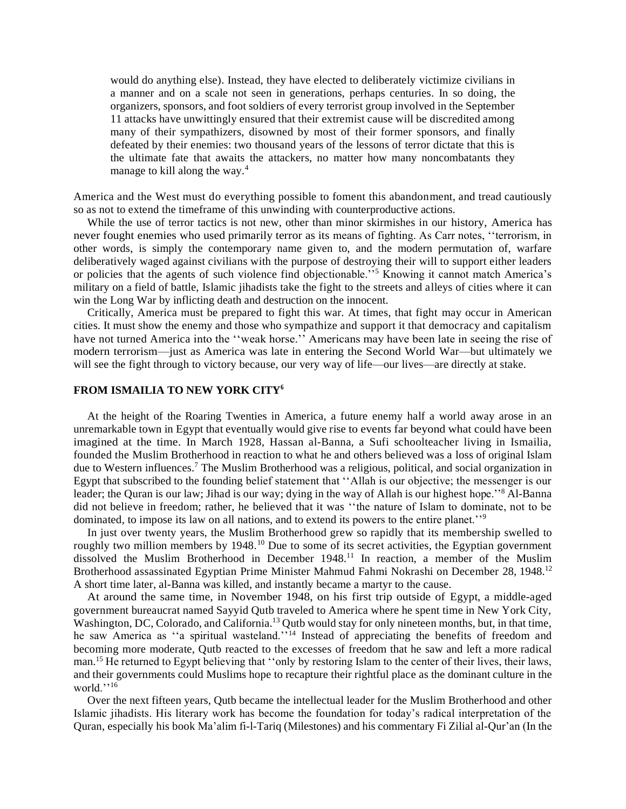would do anything else). Instead, they have elected to deliberately victimize civilians in a manner and on a scale not seen in generations, perhaps centuries. In so doing, the organizers, sponsors, and foot soldiers of every terrorist group involved in the September 11 attacks have unwittingly ensured that their extremist cause will be discredited among many of their sympathizers, disowned by most of their former sponsors, and finally defeated by their enemies: two thousand years of the lessons of terror dictate that this is the ultimate fate that awaits the attackers, no matter how many noncombatants they manage to kill along the way.<sup>4</sup>

America and the West must do everything possible to foment this abandonment, and tread cautiously so as not to extend the timeframe of this unwinding with counterproductive actions.

While the use of terror tactics is not new, other than minor skirmishes in our history, America has never fought enemies who used primarily terror as its means of fighting. As Carr notes, ''terrorism, in other words, is simply the contemporary name given to, and the modern permutation of, warfare deliberatively waged against civilians with the purpose of destroying their will to support either leaders or policies that the agents of such violence find objectionable.''<sup>5</sup> Knowing it cannot match America's military on a field of battle, Islamic jihadists take the fight to the streets and alleys of cities where it can win the Long War by inflicting death and destruction on the innocent.

Critically, America must be prepared to fight this war. At times, that fight may occur in American cities. It must show the enemy and those who sympathize and support it that democracy and capitalism have not turned America into the "weak horse." Americans may have been late in seeing the rise of modern terrorism—just as America was late in entering the Second World War—but ultimately we will see the fight through to victory because, our very way of life—our lives—are directly at stake.

### **FROM ISMAILIA TO NEW YORK CITY<sup>6</sup>**

At the height of the Roaring Twenties in America, a future enemy half a world away arose in an unremarkable town in Egypt that eventually would give rise to events far beyond what could have been imagined at the time. In March 1928, Hassan al-Banna, a Sufi schoolteacher living in Ismailia, founded the Muslim Brotherhood in reaction to what he and others believed was a loss of original Islam due to Western influences.<sup>7</sup> The Muslim Brotherhood was a religious, political, and social organization in Egypt that subscribed to the founding belief statement that ''Allah is our objective; the messenger is our leader; the Quran is our law; Jihad is our way; dying in the way of Allah is our highest hope.''<sup>8</sup> Al-Banna did not believe in freedom; rather, he believed that it was ''the nature of Islam to dominate, not to be dominated, to impose its law on all nations, and to extend its powers to the entire planet.''<sup>9</sup>

In just over twenty years, the Muslim Brotherhood grew so rapidly that its membership swelled to roughly two million members by 1948.<sup>10</sup> Due to some of its secret activities, the Egyptian government dissolved the Muslim Brotherhood in December  $1948<sup>11</sup>$  In reaction, a member of the Muslim Brotherhood assassinated Egyptian Prime Minister Mahmud Fahmi Nokrashi on December 28, 1948.<sup>12</sup> A short time later, al-Banna was killed, and instantly became a martyr to the cause.

At around the same time, in November 1948, on his first trip outside of Egypt, a middle-aged government bureaucrat named Sayyid Qutb traveled to America where he spent time in New York City, Washington, DC, Colorado, and California.<sup>13</sup> Qutb would stay for only nineteen months, but, in that time, he saw America as "a spiritual wasteland."<sup>14</sup> Instead of appreciating the benefits of freedom and becoming more moderate, Qutb reacted to the excesses of freedom that he saw and left a more radical man.<sup>15</sup> He returned to Egypt believing that ''only by restoring Islam to the center of their lives, their laws, and their governments could Muslims hope to recapture their rightful place as the dominant culture in the world.''<sup>16</sup>

Over the next fifteen years, Qutb became the intellectual leader for the Muslim Brotherhood and other Islamic jihadists. His literary work has become the foundation for today's radical interpretation of the Quran, especially his book Ma'alim fi-l-Tariq (Milestones) and his commentary Fi Zilial al-Qur'an (In the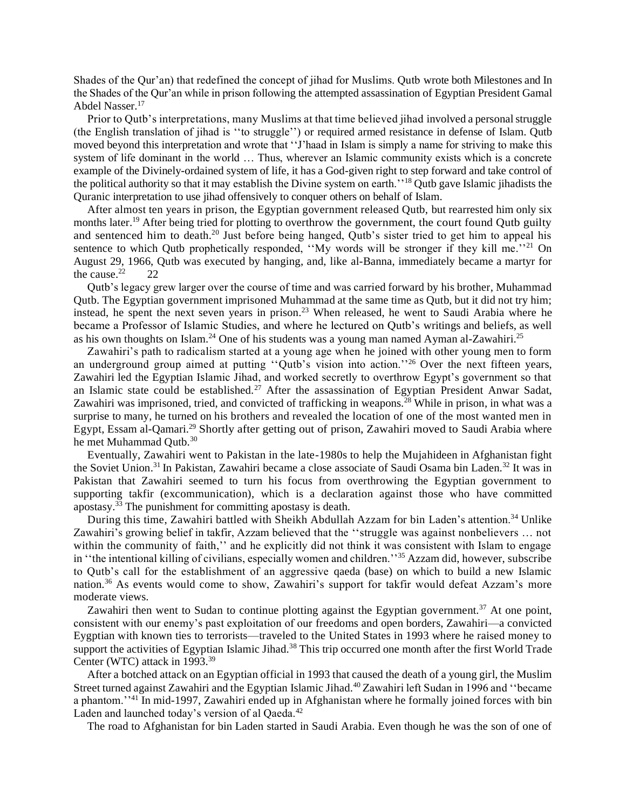Shades of the Qur'an) that redefined the concept of jihad for Muslims. Qutb wrote both Milestones and In the Shades of the Qur'an while in prison following the attempted assassination of Egyptian President Gamal Abdel Nasser.<sup>17</sup>

Prior to Qutb's interpretations, many Muslims at that time believed jihad involved a personal struggle (the English translation of jihad is ''to struggle'') or required armed resistance in defense of Islam. Qutb moved beyond this interpretation and wrote that ''J'haad in Islam is simply a name for striving to make this system of life dominant in the world … Thus, wherever an Islamic community exists which is a concrete example of the Divinely-ordained system of life, it has a God-given right to step forward and take control of the political authority so that it may establish the Divine system on earth.''<sup>18</sup> Qutb gave Islamic jihadists the Quranic interpretation to use jihad offensively to conquer others on behalf of Islam.

After almost ten years in prison, the Egyptian government released Qutb, but rearrested him only six months later.<sup>19</sup> After being tried for plotting to overthrow the government, the court found Qutb guilty and sentenced him to death.<sup>20</sup> Just before being hanged, Qutb's sister tried to get him to appeal his sentence to which Qutb prophetically responded, "My words will be stronger if they kill me."<sup>21</sup> On August 29, 1966, Qutb was executed by hanging, and, like al-Banna, immediately became a martyr for the cause. $22$  22

Qutb's legacy grew larger over the course of time and was carried forward by his brother, Muhammad Qutb. The Egyptian government imprisoned Muhammad at the same time as Qutb, but it did not try him; instead, he spent the next seven years in prison.<sup>23</sup> When released, he went to Saudi Arabia where he became a Professor of Islamic Studies, and where he lectured on Qutb's writings and beliefs, as well as his own thoughts on Islam.<sup>24</sup> One of his students was a young man named Ayman al-Zawahiri.<sup>25</sup>

Zawahiri's path to radicalism started at a young age when he joined with other young men to form an underground group aimed at putting "Qutb's vision into action."<sup>26</sup> Over the next fifteen years, Zawahiri led the Egyptian Islamic Jihad, and worked secretly to overthrow Egypt's government so that an Islamic state could be established.<sup>27</sup> After the assassination of Egyptian President Anwar Sadat, Zawahiri was imprisoned, tried, and convicted of trafficking in weapons.<sup>28</sup> While in prison, in what was a surprise to many, he turned on his brothers and revealed the location of one of the most wanted men in Egypt, Essam al-Qamari.<sup>29</sup> Shortly after getting out of prison, Zawahiri moved to Saudi Arabia where he met Muhammad Outb.<sup>30</sup>

Eventually, Zawahiri went to Pakistan in the late-1980s to help the Mujahideen in Afghanistan fight the Soviet Union.<sup>31</sup> In Pakistan, Zawahiri became a close associate of Saudi Osama bin Laden.<sup>32</sup> It was in Pakistan that Zawahiri seemed to turn his focus from overthrowing the Egyptian government to supporting takfir (excommunication), which is a declaration against those who have committed apostasy.<sup>33</sup> The punishment for committing apostasy is death.

During this time, Zawahiri battled with Sheikh Abdullah Azzam for bin Laden's attention.<sup>34</sup> Unlike Zawahiri's growing belief in takfir, Azzam believed that the ''struggle was against nonbelievers … not within the community of faith," and he explicitly did not think it was consistent with Islam to engage in ''the intentional killing of civilians, especially women and children.''<sup>35</sup> Azzam did, however, subscribe to Qutb's call for the establishment of an aggressive qaeda (base) on which to build a new Islamic nation.<sup>36</sup> As events would come to show, Zawahiri's support for takfir would defeat Azzam's more moderate views.

Zawahiri then went to Sudan to continue plotting against the Egyptian government.<sup>37</sup> At one point, consistent with our enemy's past exploitation of our freedoms and open borders, Zawahiri—a convicted Eygptian with known ties to terrorists—traveled to the United States in 1993 where he raised money to support the activities of Egyptian Islamic Jihad.<sup>38</sup> This trip occurred one month after the first World Trade Center (WTC) attack in 1993.<sup>39</sup>

After a botched attack on an Egyptian official in 1993 that caused the death of a young girl, the Muslim Street turned against Zawahiri and the Egyptian Islamic Jihad.<sup>40</sup> Zawahiri left Sudan in 1996 and ''became a phantom.'<sup>141</sup> In mid-1997, Zawahiri ended up in Afghanistan where he formally joined forces with bin Laden and launched today's version of al Qaeda.<sup>42</sup>

The road to Afghanistan for bin Laden started in Saudi Arabia. Even though he was the son of one of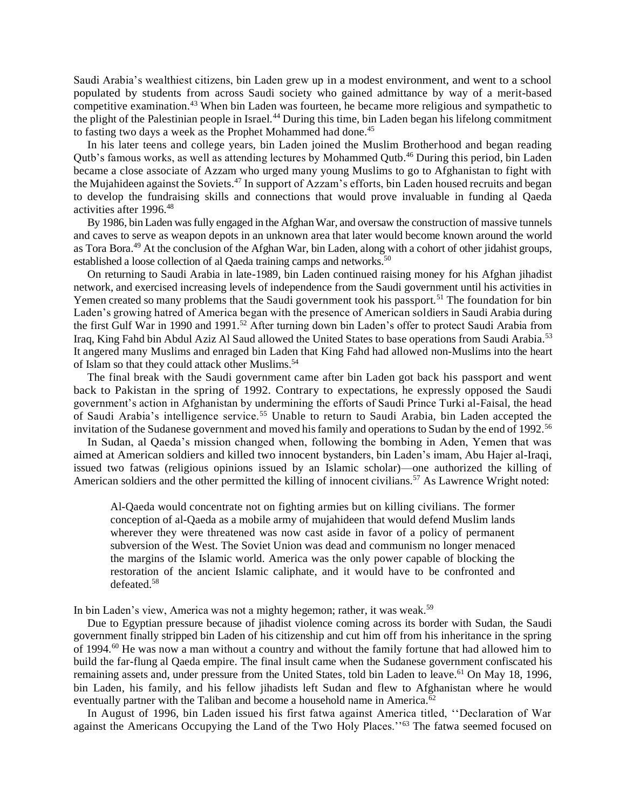Saudi Arabia's wealthiest citizens, bin Laden grew up in a modest environment, and went to a school populated by students from across Saudi society who gained admittance by way of a merit-based competitive examination.<sup>43</sup> When bin Laden was fourteen, he became more religious and sympathetic to the plight of the Palestinian people in Israel.<sup>44</sup> During this time, bin Laden began his lifelong commitment to fasting two days a week as the Prophet Mohammed had done.<sup>45</sup>

In his later teens and college years, bin Laden joined the Muslim Brotherhood and began reading Qutb's famous works, as well as attending lectures by Mohammed Qutb.<sup>46</sup> During this period, bin Laden became a close associate of Azzam who urged many young Muslims to go to Afghanistan to fight with the Mujahideen against the Soviets.<sup>47</sup> In support of Azzam's efforts, bin Laden housed recruits and began to develop the fundraising skills and connections that would prove invaluable in funding al Qaeda activities after 1996.<sup>48</sup>

By 1986, bin Laden was fully engaged in the Afghan War, and oversaw the construction of massive tunnels and caves to serve as weapon depots in an unknown area that later would become known around the world as Tora Bora.<sup>49</sup> At the conclusion of the Afghan War, bin Laden, along with a cohort of other jidahist groups, established a loose collection of al Qaeda training camps and networks.<sup>50</sup>

On returning to Saudi Arabia in late-1989, bin Laden continued raising money for his Afghan jihadist network, and exercised increasing levels of independence from the Saudi government until his activities in Yemen created so many problems that the Saudi government took his passport.<sup>51</sup> The foundation for bin Laden's growing hatred of America began with the presence of American soldiers in Saudi Arabia during the first Gulf War in 1990 and 1991.<sup>52</sup> After turning down bin Laden's offer to protect Saudi Arabia from Iraq, King Fahd bin Abdul Aziz Al Saud allowed the United States to base operations from Saudi Arabia.<sup>53</sup> It angered many Muslims and enraged bin Laden that King Fahd had allowed non-Muslims into the heart of Islam so that they could attack other Muslims.<sup>54</sup>

The final break with the Saudi government came after bin Laden got back his passport and went back to Pakistan in the spring of 1992. Contrary to expectations, he expressly opposed the Saudi government's action in Afghanistan by undermining the efforts of Saudi Prince Turki al-Faisal, the head of Saudi Arabia's intelligence service.<sup>55</sup> Unable to return to Saudi Arabia, bin Laden accepted the invitation of the Sudanese government and moved his family and operations to Sudan by the end of 1992.<sup>56</sup>

In Sudan, al Qaeda's mission changed when, following the bombing in Aden, Yemen that was aimed at American soldiers and killed two innocent bystanders, bin Laden's imam, Abu Hajer al-Iraqi, issued two fatwas (religious opinions issued by an Islamic scholar)—one authorized the killing of American soldiers and the other permitted the killing of innocent civilians.<sup>57</sup> As Lawrence Wright noted:

Al-Qaeda would concentrate not on fighting armies but on killing civilians. The former conception of al-Qaeda as a mobile army of mujahideen that would defend Muslim lands wherever they were threatened was now cast aside in favor of a policy of permanent subversion of the West. The Soviet Union was dead and communism no longer menaced the margins of the Islamic world. America was the only power capable of blocking the restoration of the ancient Islamic caliphate, and it would have to be confronted and defeated.<sup>58</sup>

In bin Laden's view, America was not a mighty hegemon; rather, it was weak.<sup>59</sup>

Due to Egyptian pressure because of jihadist violence coming across its border with Sudan, the Saudi government finally stripped bin Laden of his citizenship and cut him off from his inheritance in the spring of 1994.<sup>60</sup> He was now a man without a country and without the family fortune that had allowed him to build the far-flung al Qaeda empire. The final insult came when the Sudanese government confiscated his remaining assets and, under pressure from the United States, told bin Laden to leave.<sup>61</sup> On May 18, 1996, bin Laden, his family, and his fellow jihadists left Sudan and flew to Afghanistan where he would eventually partner with the Taliban and become a household name in America.<sup>62</sup>

In August of 1996, bin Laden issued his first fatwa against America titled, ''Declaration of War against the Americans Occupying the Land of the Two Holy Places."<sup>63</sup> The fatwa seemed focused on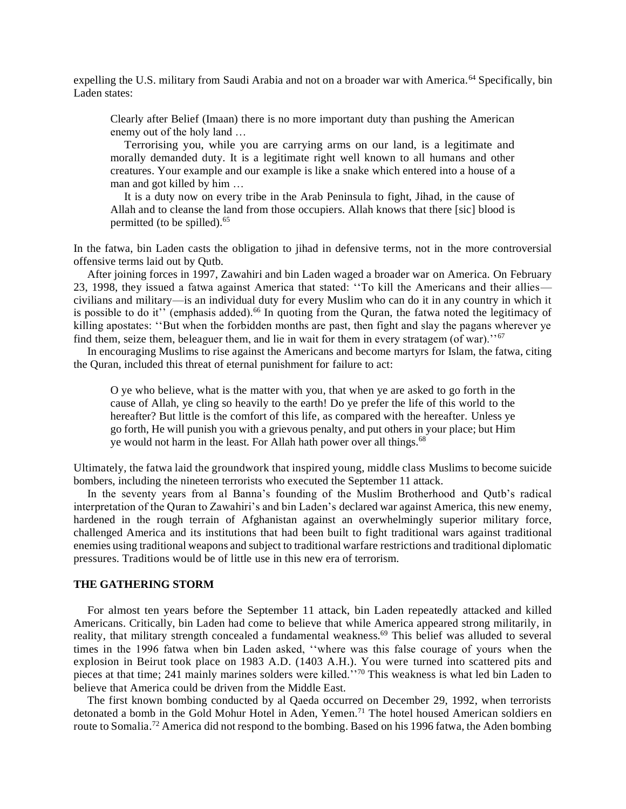expelling the U.S. military from Saudi Arabia and not on a broader war with America.<sup>64</sup> Specifically, bin Laden states:

Clearly after Belief (Imaan) there is no more important duty than pushing the American enemy out of the holy land …

Terrorising you, while you are carrying arms on our land, is a legitimate and morally demanded duty. It is a legitimate right well known to all humans and other creatures. Your example and our example is like a snake which entered into a house of a man and got killed by him …

It is a duty now on every tribe in the Arab Peninsula to fight, Jihad, in the cause of Allah and to cleanse the land from those occupiers. Allah knows that there [sic] blood is permitted (to be spilled).<sup>65</sup>

In the fatwa, bin Laden casts the obligation to jihad in defensive terms, not in the more controversial offensive terms laid out by Qutb.

After joining forces in 1997, Zawahiri and bin Laden waged a broader war on America. On February 23, 1998, they issued a fatwa against America that stated: ''To kill the Americans and their allies civilians and military—is an individual duty for every Muslim who can do it in any country in which it is possible to do it" (emphasis added).<sup>66</sup> In quoting from the Quran, the fatwa noted the legitimacy of killing apostates: ''But when the forbidden months are past, then fight and slay the pagans wherever ye find them, seize them, beleaguer them, and lie in wait for them in every stratagem (of war).<sup>''67</sup>

In encouraging Muslims to rise against the Americans and become martyrs for Islam, the fatwa, citing the Quran, included this threat of eternal punishment for failure to act:

O ye who believe, what is the matter with you, that when ye are asked to go forth in the cause of Allah, ye cling so heavily to the earth! Do ye prefer the life of this world to the hereafter? But little is the comfort of this life, as compared with the hereafter. Unless ye go forth, He will punish you with a grievous penalty, and put others in your place; but Him ye would not harm in the least. For Allah hath power over all things.<sup>68</sup>

Ultimately, the fatwa laid the groundwork that inspired young, middle class Muslims to become suicide bombers, including the nineteen terrorists who executed the September 11 attack.

In the seventy years from al Banna's founding of the Muslim Brotherhood and Qutb's radical interpretation of the Quran to Zawahiri's and bin Laden's declared war against America, this new enemy, hardened in the rough terrain of Afghanistan against an overwhelmingly superior military force, challenged America and its institutions that had been built to fight traditional wars against traditional enemies using traditional weapons and subject to traditional warfare restrictions and traditional diplomatic pressures. Traditions would be of little use in this new era of terrorism.

## **THE GATHERING STORM**

For almost ten years before the September 11 attack, bin Laden repeatedly attacked and killed Americans. Critically, bin Laden had come to believe that while America appeared strong militarily, in reality, that military strength concealed a fundamental weakness.<sup>69</sup> This belief was alluded to several times in the 1996 fatwa when bin Laden asked, ''where was this false courage of yours when the explosion in Beirut took place on 1983 A.D. (1403 A.H.). You were turned into scattered pits and pieces at that time; 241 mainly marines solders were killed.''<sup>70</sup> This weakness is what led bin Laden to believe that America could be driven from the Middle East.

The first known bombing conducted by al Qaeda occurred on December 29, 1992, when terrorists detonated a bomb in the Gold Mohur Hotel in Aden, Yemen.<sup>71</sup> The hotel housed American soldiers en route to Somalia.<sup>72</sup> America did not respond to the bombing. Based on his 1996 fatwa, the Aden bombing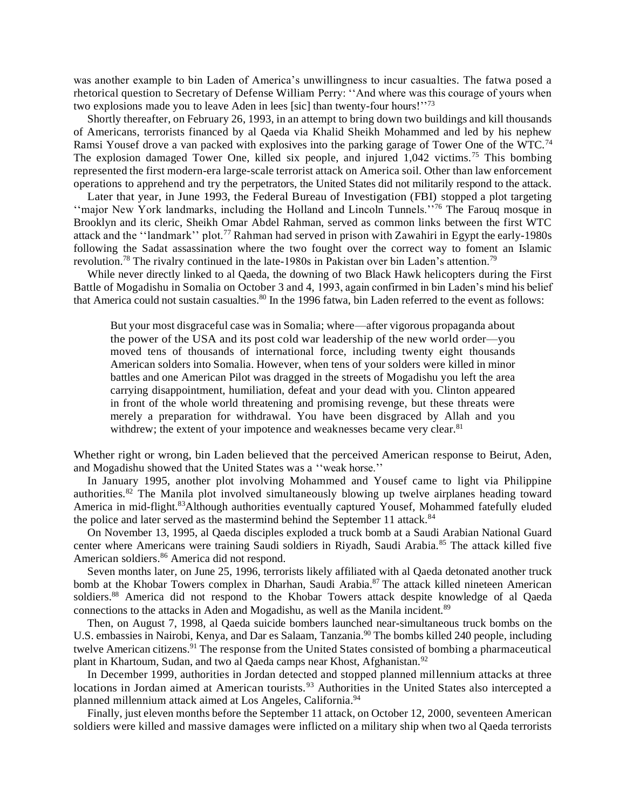was another example to bin Laden of America's unwillingness to incur casualties. The fatwa posed a rhetorical question to Secretary of Defense William Perry: ''And where was this courage of yours when two explosions made you to leave Aden in lees [sic] than twenty-four hours!"<sup>73</sup>

Shortly thereafter, on February 26, 1993, in an attempt to bring down two buildings and kill thousands of Americans, terrorists financed by al Qaeda via Khalid Sheikh Mohammed and led by his nephew Ramsi Yousef drove a van packed with explosives into the parking garage of Tower One of the WTC.<sup>74</sup> The explosion damaged Tower One, killed six people, and injured 1,042 victims.<sup>75</sup> This bombing represented the first modern-era large-scale terrorist attack on America soil. Other than law enforcement operations to apprehend and try the perpetrators, the United States did not militarily respond to the attack.

Later that year, in June 1993, the Federal Bureau of Investigation (FBI) stopped a plot targeting ''major New York landmarks, including the Holland and Lincoln Tunnels.''<sup>76</sup> The Farouq mosque in Brooklyn and its cleric, Sheikh Omar Abdel Rahman, served as common links between the first WTC attack and the ''landmark'' plot.<sup>77</sup> Rahman had served in prison with Zawahiri in Egypt the early-1980s following the Sadat assassination where the two fought over the correct way to foment an Islamic revolution.<sup>78</sup> The rivalry continued in the late-1980s in Pakistan over bin Laden's attention.<sup>79</sup>

While never directly linked to al Qaeda, the downing of two Black Hawk helicopters during the First Battle of Mogadishu in Somalia on October 3 and 4, 1993, again confirmed in bin Laden's mind his belief that America could not sustain casualties.<sup>80</sup> In the 1996 fatwa, bin Laden referred to the event as follows:

But your most disgraceful case was in Somalia; where—after vigorous propaganda about the power of the USA and its post cold war leadership of the new world order—you moved tens of thousands of international force, including twenty eight thousands American solders into Somalia. However, when tens of your solders were killed in minor battles and one American Pilot was dragged in the streets of Mogadishu you left the area carrying disappointment, humiliation, defeat and your dead with you. Clinton appeared in front of the whole world threatening and promising revenge, but these threats were merely a preparation for withdrawal. You have been disgraced by Allah and you withdrew; the extent of your impotence and weaknesses became very clear.<sup>81</sup>

Whether right or wrong, bin Laden believed that the perceived American response to Beirut, Aden, and Mogadishu showed that the United States was a ''weak horse.''

In January 1995, another plot involving Mohammed and Yousef came to light via Philippine authorities.<sup>82</sup> The Manila plot involved simultaneously blowing up twelve airplanes heading toward America in mid-flight.<sup>83</sup>Although authorities eventually captured Yousef, Mohammed fatefully eluded the police and later served as the mastermind behind the September 11 attack.<sup>84</sup>

On November 13, 1995, al Qaeda disciples exploded a truck bomb at a Saudi Arabian National Guard center where Americans were training Saudi soldiers in Riyadh, Saudi Arabia.<sup>85</sup> The attack killed five American soldiers.<sup>86</sup> America did not respond.

Seven months later, on June 25, 1996, terrorists likely affiliated with al Qaeda detonated another truck bomb at the Khobar Towers complex in Dharhan, Saudi Arabia.<sup>87</sup> The attack killed nineteen American soldiers.<sup>88</sup> America did not respond to the Khobar Towers attack despite knowledge of al Qaeda connections to the attacks in Aden and Mogadishu, as well as the Manila incident.<sup>89</sup>

Then, on August 7, 1998, al Qaeda suicide bombers launched near-simultaneous truck bombs on the U.S. embassies in Nairobi, Kenya, and Dar es Salaam, Tanzania.<sup>90</sup> The bombs killed 240 people, including twelve American citizens.<sup>91</sup> The response from the United States consisted of bombing a pharmaceutical plant in Khartoum, Sudan, and two al Qaeda camps near Khost, Afghanistan.<sup>92</sup>

In December 1999, authorities in Jordan detected and stopped planned millennium attacks at three locations in Jordan aimed at American tourists.<sup>93</sup> Authorities in the United States also intercepted a planned millennium attack aimed at Los Angeles, California.<sup>94</sup>

Finally, just eleven months before the September 11 attack, on October 12, 2000, seventeen American soldiers were killed and massive damages were inflicted on a military ship when two al Qaeda terrorists